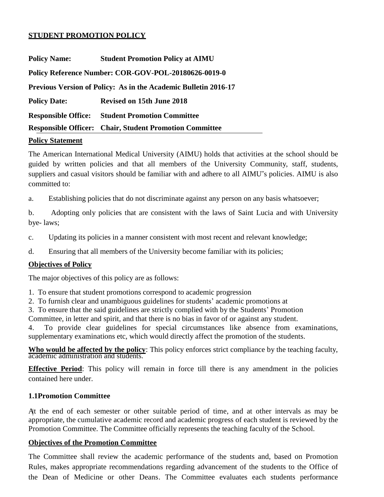#### **STUDENT PROMOTION POLICY**

| <b>Policy Name:</b>                                                    | <b>Student Promotion Policy at AIMU</b>                        |  |  |  |  |
|------------------------------------------------------------------------|----------------------------------------------------------------|--|--|--|--|
| Policy Reference Number: COR-GOV-POL-20180626-0019-0                   |                                                                |  |  |  |  |
| <b>Previous Version of Policy: As in the Academic Bulletin 2016-17</b> |                                                                |  |  |  |  |
| <b>Policy Date:</b>                                                    | <b>Revised on 15th June 2018</b>                               |  |  |  |  |
| <b>Responsible Office:</b>                                             | <b>Student Promotion Committee</b>                             |  |  |  |  |
|                                                                        | <b>Responsible Officer:</b> Chair, Student Promotion Committee |  |  |  |  |

#### **Policy Statement**

The American International Medical University (AIMU) holds that activities at the school should be guided by written policies and that all members of the University Community, staff, students, suppliers and casual visitors should be familiar with and adhere to all AIMU"s policies. AIMU is also committed to:

a. Establishing policies that do not discriminate against any person on any basis whatsoever;

b. Adopting only policies that are consistent with the laws of Saint Lucia and with University bye- laws;

c. Updating its policies in a manner consistent with most recent and relevant knowledge;

d. Ensuring that all members of the University become familiar with its policies;

#### **Objectives of Policy**

The major objectives of this policy are as follows:

1. To ensure that student promotions correspond to academic progression

2. To furnish clear and unambiguous guidelines for students' academic promotions at

3. To ensure that the said guidelines are strictly complied with by the Students' Promotion

Committee, in letter and spirit, and that there is no bias in favor of or against any student.

4. To provide clear guidelines for special circumstances like absence from examinations, supplementary examinations etc, which would directly affect the promotion of the students.

**Who would be affected by the policy**: This policy enforces strict compliance by the teaching faculty, academic administration and students.

**Effective Period**: This policy will remain in force till there is any amendment in the policies contained here under.

#### **1.1Promotion Committee**

At the end of each semester or other suitable period of time, and at other intervals as may be appropriate, the cumulative academic record and academic progress of each student is reviewed by the Promotion Committee. The Committee officially represents the teaching faculty of the School.

#### **Objectives of the Promotion Committee**

The Committee shall review the academic performance of the students and, based on Promotion Rules, makes appropriate recommendations regarding advancement of the students to the Office of the Dean of Medicine or other Deans. The Committee evaluates each students performance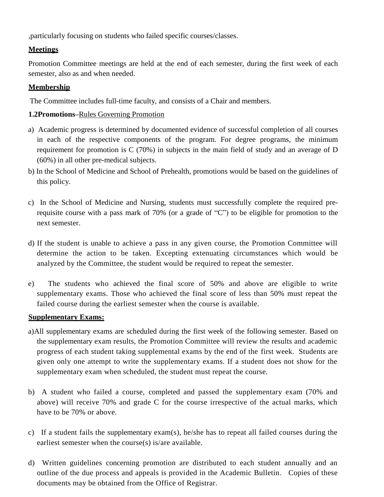,particularly focusing on students who failed specific courses/classes.

# **Meetings**

Promotion Committee meetings are held at the end of each semester, during the first week of each semester, also as and when needed.

## **Membership**

The Committee includes full-time faculty, and consists of a Chair and members.

# **1.2Promotions–**Rules Governing Promotion

- a) Academic progress is determined by documented evidence of successful completion of all courses in each of the respective components of the program. For degree programs, the minimum requirement for promotion is C (70%) in subjects in the main field of study and an average of D (60%) in all other pre-medical subjects.
- b) In the School of Medicine and School of Prehealth, promotions would be based on the guidelines of this policy.
- c) In the School of Medicine and Nursing, students must successfully complete the required prerequisite course with a pass mark of 70% (or a grade of "C") to be eligible for promotion to the next semester.
- d) If the student is unable to achieve a pass in any given course, the Promotion Committee will determine the action to be taken. Excepting extenuating circumstances which would be analyzed by the Committee, the student would be required to repeat the semester.
- e) The students who achieved the final score of 50% and above are eligible to write supplementary exams. Those who achieved the final score of less than 50% must repeat the failed course during the earliest semester when the course is available.

### **Supplementary Exams:**

- a)All supplementary exams are scheduled during the first week of the following semester. Based on the supplementary exam results, the Promotion Committee will review the results and academic progress of each student taking supplemental exams by the end of the first week. Students are given only one attempt to write the supplementary exams. If a student does not show for the supplementary exam when scheduled, the student must repeat the course.
- b) A student who failed a course, completed and passed the supplementary exam (70% and above) will receive 70% and grade C for the course irrespective of the actual marks, which have to be 70% or above.
- c) If a student fails the supplementary exam(s), he/she has to repeat all failed courses during the earliest semester when the course(s) is/are available.
- d) Written guidelines concerning promotion are distributed to each student annually and an outline of the due process and appeals is provided in the Academic Bulletin. Copies of these documents may be obtained from the Office of Registrar.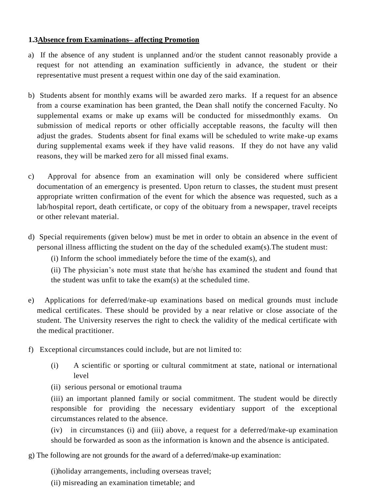## **1.3Absence from Examinations– affecting Promotion**

- a) If the absence of any student is unplanned and/or the student cannot reasonably provide a request for not attending an examination sufficiently in advance, the student or their representative must present a request within one day of the said examination.
- b) Students absent for monthly exams will be awarded zero marks. If a request for an absence from a course examination has been granted, the Dean shall notify the concerned Faculty. No supplemental exams or make up exams will be conducted for missedmonthly exams. On submission of medical reports or other officially acceptable reasons, the faculty will then adjust the grades. Students absent for final exams will be scheduled to write make-up exams during supplemental exams week if they have valid reasons. If they do not have any valid reasons, they will be marked zero for all missed final exams.
- c) Approval for absence from an examination will only be considered where sufficient documentation of an emergency is presented. Upon return to classes, the student must present appropriate written confirmation of the event for which the absence was requested, such as a lab/hospital report, death certificate, or copy of the obituary from a newspaper, travel receipts or other relevant material.
- d) Special requirements (given below) must be met in order to obtain an absence in the event of personal illness afflicting the student on the day of the scheduled exam(s).The student must:

(i) Inform the school immediately before the time of the exam(s), and

(ii) The physician's note must state that he/she has examined the student and found that the student was unfit to take the exam(s) at the scheduled time.

- e) Applications for deferred/make-up examinations based on medical grounds must include medical certificates. These should be provided by a near relative or close associate of the student. The University reserves the right to check the validity of the medical certificate with the medical practitioner.
- f) Exceptional circumstances could include, but are not limited to:
	- (i) A scientific or sporting or cultural commitment at state, national or international level
	- (ii) serious personal or emotional trauma

(iii) an important planned family or social commitment. The student would be directly responsible for providing the necessary evidentiary support of the exceptional circumstances related to the absence.

(iv) in circumstances (i) and (iii) above, a request for a deferred/make-up examination should be forwarded as soon as the information is known and the absence is anticipated.

g) The following are not grounds for the award of a deferred/make-up examination:

(i)holiday arrangements, including overseas travel;

(ii) misreading an examination timetable; and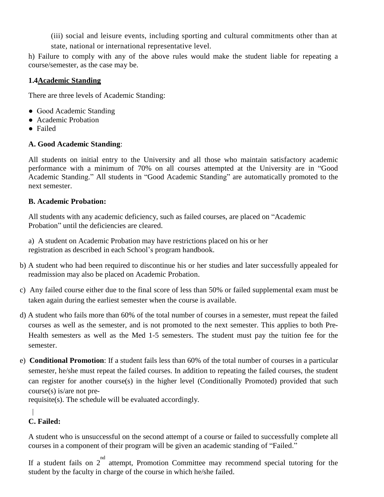(iii) social and leisure events, including sporting and cultural commitments other than at state, national or international representative level.

h) Failure to comply with any of the above rules would make the student liable for repeating a course/semester, as the case may be.

# **1.4Academic Standing**

There are three levels of Academic Standing:

- Good Academic Standing
- Academic Probation
- Failed

# **A. Good Academic Standing**:

All students on initial entry to the University and all those who maintain satisfactory academic performance with a minimum of 70% on all courses attempted at the University are in "Good Academic Standing." All students in "Good Academic Standing" are automatically promoted to the next semester.

# **B. Academic Probation:**

All students with any academic deficiency, such as failed courses, are placed on "Academic Probation" until the deficiencies are cleared.

a) A student on Academic Probation may have restrictions placed on his or her registration as described in each School's program handbook.

- b) A student who had been required to discontinue his or her studies and later successfully appealed for readmission may also be placed on Academic Probation.
- c) Any failed course either due to the final score of less than 50% or failed supplemental exam must be taken again during the earliest semester when the course is available.
- d) A student who fails more than 60% of the total number of courses in a semester, must repeat the failed courses as well as the semester, and is not promoted to the next semester. This applies to both Pre-Health semesters as well as the Med 1-5 semesters. The student must pay the tuition fee for the semester.
- e) **Conditional Promotion**: If a student fails less than 60% of the total number of courses in a particular semester, he/she must repeat the failed courses. In addition to repeating the failed courses, the student can register for another course(s) in the higher level (Conditionally Promoted) provided that such course(s) is/are not pre-

requisite(s). The schedule will be evaluated accordingly.

#### $\mathbf{I}$ **C. Failed:**

A student who is unsuccessful on the second attempt of a course or failed to successfully complete all courses in a component of their program will be given an academic standing of "Failed."

If a student fails on  $2^{nd}$  attempt, Promotion Committee may recommend special tutoring for the student by the faculty in charge of the course in which he/she failed.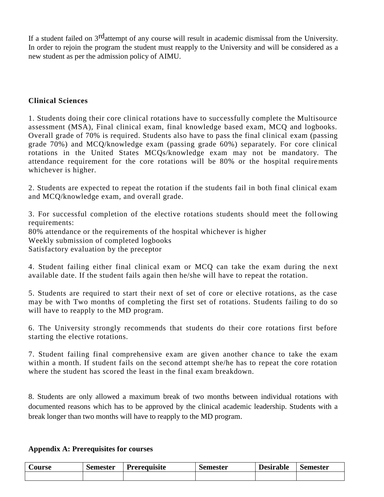If a student failed on 3<sup>rd</sup>attempt of any course will result in academic dismissal from the University. In order to rejoin the program the student must reapply to the University and will be considered as a new student as per the admission policy of AIMU.

### **Clinical Sciences**

1. Students doing their core clinical rotations have to successfully complete the Multisource assessment (MSA), Final clinical exam, final knowledge based exam, MCQ and logbooks. Overall grade of 70% is required. Students also have to pass the final clinical exam (passing grade 70%) and MCQ/knowledge exam (passing grade 60%) separately. For core clinical rotations in the United States MCQs/knowledge exam may not be mandatory. The attendance requirement for the core rotations will be 80% or the hospital requirements whichever is higher.

2. Students are expected to repeat the rotation if the students fail in both final clinical exam and MCQ/knowledge exam, and overall grade.

3. For successful completion of the elective rotations students should meet the foll owing requirements:

80% attendance or the requirements of the hospital whichever is higher

Weekly submission of completed logbooks

Satisfactory evaluation by the preceptor

4. Student failing either final clinical exam or MCQ can take the exam during the next available date. If the student fails again then he/she will have to repeat the rotation.

5. Students are required to start their next of set of core or elective rotations, as the case may be with Two months of completing the first set of rotations. Students failing to do so will have to reapply to the MD program.

6. The University strongly recommends that students do their core rotations first before starting the elective rotations.

7. Student failing final comprehensive exam are given another chance to take the exam within a month. If student fails on the second attempt she/he has to repeat the core rotation where the student has scored the least in the final exam breakdown.

8. Students are only allowed a maximum break of two months between individual rotations with documented reasons which has to be approved by the clinical academic leadership. Students with a break longer than two months will have to reapply to the MD program.

|  | <b>Appendix A: Prerequisites for courses</b> |
|--|----------------------------------------------|
|--|----------------------------------------------|

| <b>bourse</b> t | $\sqrt{2}$<br>Semester | Prereguisite | <b>Semester</b> | <b>Desirable</b> | Semester |
|-----------------|------------------------|--------------|-----------------|------------------|----------|
|                 |                        |              |                 |                  |          |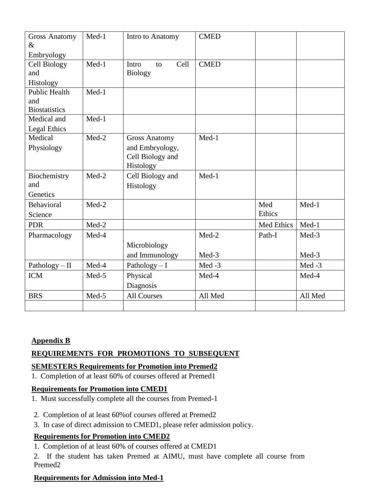| <b>Gross Anatomy</b> | Med-1   | Intro to Anatomy     | <b>CMED</b> |            |         |
|----------------------|---------|----------------------|-------------|------------|---------|
| $\&$                 |         |                      |             |            |         |
| Embryology           |         |                      |             |            |         |
| <b>Cell Biology</b>  | Med-1   | Cell<br>Intro<br>to  | <b>CMED</b> |            |         |
| and                  |         | <b>Biology</b>       |             |            |         |
| Histology            |         |                      |             |            |         |
| <b>Public Health</b> | Med-1   |                      |             |            |         |
| and                  |         |                      |             |            |         |
| <b>Biostatistics</b> |         |                      |             |            |         |
| Medical and          | $Med-1$ |                      |             |            |         |
| Legal Ethics         |         |                      |             |            |         |
| Medical              | $Med-2$ | <b>Gross Anatomy</b> | Med-1       |            |         |
| Physiology           |         | and Embryology,      |             |            |         |
|                      |         | Cell Biology and     |             |            |         |
|                      |         | Histology            |             |            |         |
| Biochemistry         | $Med-2$ | Cell Biology and     | $Med-1$     |            |         |
| and                  |         | Histology            |             |            |         |
| Genetics             |         |                      |             |            |         |
| <b>Behavioral</b>    | $Med-2$ |                      |             | Med        | Med-1   |
| Science              |         |                      |             | Ethics     |         |
| <b>PDR</b>           | Med-2   |                      |             | Med Ethics | Med-1   |
| Pharmacology         | Med-4   |                      | Med-2       | Path-I     | Med-3   |
|                      |         | Microbiology         |             |            |         |
|                      |         | and Immunology       | Med-3       |            | Med-3   |
| Pathology $-$ II     | Med-4   | Pathology $- I$      | Med-3       |            | Med-3   |
| <b>ICM</b>           | Med-5   | Physical             | Med-4       |            | Med-4   |
|                      |         | Diagnosis            |             |            |         |
| <b>BRS</b>           | Med-5   | <b>All Courses</b>   | All Med     |            | All Med |
|                      |         |                      |             |            |         |

# **Appendix B**

# **REQUIREMENTS FOR PROMOTIONS TO SUBSEQUENT**

### **SEMESTERS Requirements for Promotion into Premed2**

1. Completion of at least 60% of courses offered at Premed1

# **Requirements for Promotion into CMED1**

- 1. Must successfully complete all the courses from Premed-1
- 2. Completion of at least 60%of courses offered at Premed2
- 3. In case of direct admission to CMED1, please refer admission policy.

# **Requirements for Promotion into CMED2**

- 1. Completion of at least 60% of courses offered at CMED1
- 2. If the student has taken Premed at AIMU, must have complete all course from Premed2

# **Requirements for Admission into Med-1**